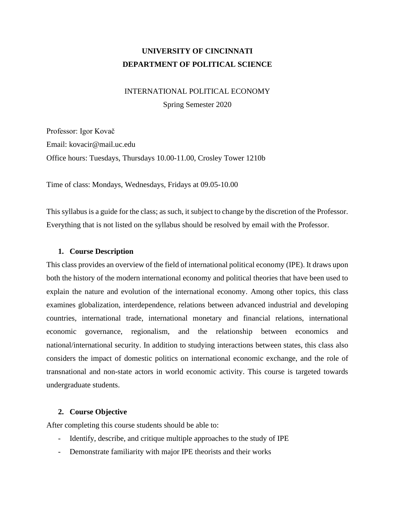# **UNIVERSITY OF CINCINNATI DEPARTMENT OF POLITICAL SCIENCE**

# INTERNATIONAL POLITICAL ECONOMY

Spring Semester 2020

Professor: Igor Kovač Email: kovacir@mail.uc.edu Office hours: Tuesdays, Thursdays 10.00-11.00, Crosley Tower 1210b

Time of class: Mondays, Wednesdays, Fridays at 09.05-10.00

This syllabus is a guide for the class; as such, it subject to change by the discretion of the Professor. Everything that is not listed on the syllabus should be resolved by email with the Professor.

# **1. Course Description**

This class provides an overview of the field of international political economy (IPE). It draws upon both the history of the modern international economy and political theories that have been used to explain the nature and evolution of the international economy. Among other topics, this class examines globalization, interdependence, relations between advanced industrial and developing countries, international trade, international monetary and financial relations, international economic governance, regionalism, and the relationship between economics and national/international security. In addition to studying interactions between states, this class also considers the impact of domestic politics on international economic exchange, and the role of transnational and non-state actors in world economic activity. This course is targeted towards undergraduate students.

# **2. Course Objective**

After completing this course students should be able to:

- Identify, describe, and critique multiple approaches to the study of IPE
- Demonstrate familiarity with major IPE theorists and their works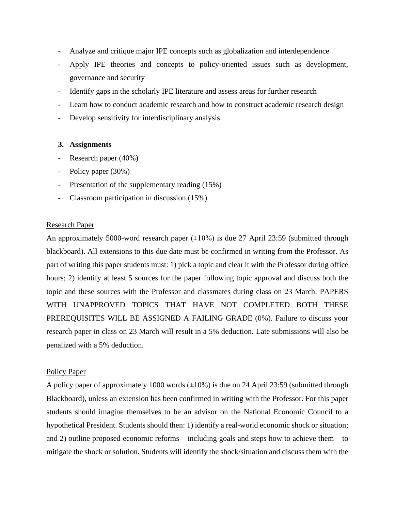- Analyze and critique major IPE concepts such as globalization and interdependence
- Apply IPE theories and concepts to policy-oriented issues such as development, governance and security
- Identify gaps in the scholarly IPE literature and assess areas for further research
- Learn how to conduct academic research and how to construct academic research design
- Develop sensitivity for interdisciplinary analysis

# **3. Assignments**

- Research paper (40%)
- Policy paper (30%)
- Presentation of the supplementary reading (15%)
- Classroom participation in discussion (15%)

# Research Paper

An approximately 5000-word research paper  $(\pm 10\%)$  is due 27 April 23:59 (submitted through blackboard). All extensions to this due date must be confirmed in writing from the Professor. As part of writing this paper students must: 1) pick a topic and clear it with the Professor during office hours; 2) identify at least 5 sources for the paper following topic approval and discuss both the topic and these sources with the Professor and classmates during class on 23 March. PAPERS WITH UNAPPROVED TOPICS THAT HAVE NOT COMPLETED BOTH THESE PREREQUISITES WILL BE ASSIGNED A FAILING GRADE (0%). Failure to discuss your research paper in class on 23 March will result in a 5% deduction. Late submissions will also be penalized with a 5% deduction.

#### Policy Paper

A policy paper of approximately 1000 words  $(\pm 10\%)$  is due on 24 April 23:59 (submitted through Blackboard), unless an extension has been confirmed in writing with the Professor. For this paper students should imagine themselves to be an advisor on the National Economic Council to a hypothetical President. Students should then: 1) identify a real-world economic shock or situation; and 2) outline proposed economic reforms – including goals and steps how to achieve them – to mitigate the shock or solution. Students will identify the shock/situation and discuss them with the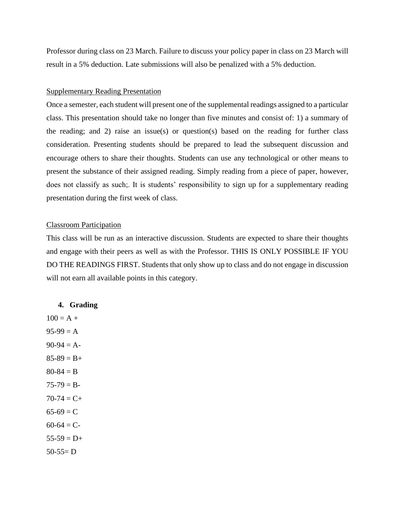Professor during class on 23 March. Failure to discuss your policy paper in class on 23 March will result in a 5% deduction. Late submissions will also be penalized with a 5% deduction.

### Supplementary Reading Presentation

Once a semester, each student will present one of the supplemental readings assigned to a particular class. This presentation should take no longer than five minutes and consist of: 1) a summary of the reading; and 2) raise an issue(s) or question(s) based on the reading for further class consideration. Presenting students should be prepared to lead the subsequent discussion and encourage others to share their thoughts. Students can use any technological or other means to present the substance of their assigned reading. Simply reading from a piece of paper, however, does not classify as such;. It is students' responsibility to sign up for a supplementary reading presentation during the first week of class.

## Classroom Participation

This class will be run as an interactive discussion. Students are expected to share their thoughts and engage with their peers as well as with the Professor. THIS IS ONLY POSSIBLE IF YOU DO THE READINGS FIRST. Students that only show up to class and do not engage in discussion will not earn all available points in this category.

#### **4. Grading**

 $100 = A +$  $95-99 = A$  $90-94 = A$  $85-89 = B +$  $80 - 84 = B$  $75-79 = B 70-74 = C +$  $65-69 = C$  $60-64 = C$  $55-59 = D+$  $50-55= D$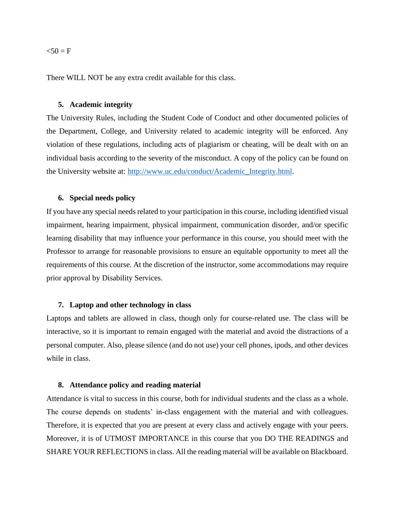#### $50 = F$

There WILL NOT be any extra credit available for this class.

#### **5. Academic integrity**

The University Rules, including the Student Code of Conduct and other documented policies of the Department, College, and University related to academic integrity will be enforced. Any violation of these regulations, including acts of plagiarism or cheating, will be dealt with on an individual basis according to the severity of the misconduct. A copy of the policy can be found on the University website at: [http://www.uc.edu/conduct/Academic\\_Integrity.html.](http://www.uc.edu/conduct/Academic_Integrity.html)

#### **6. Special needs policy**

If you have any special needs related to your participation in this course, including identified visual impairment, hearing impairment, physical impairment, communication disorder, and/or specific learning disability that may influence your performance in this course, you should meet with the Professor to arrange for reasonable provisions to ensure an equitable opportunity to meet all the requirements of this course. At the discretion of the instructor, some accommodations may require prior approval by Disability Services.

#### **7. Laptop and other technology in class**

Laptops and tablets are allowed in class, though only for course-related use. The class will be interactive, so it is important to remain engaged with the material and avoid the distractions of a personal computer. Also, please silence (and do not use) your cell phones, ipods, and other devices while in class.

#### **8. Attendance policy and reading material**

Attendance is vital to success in this course, both for individual students and the class as a whole. The course depends on students' in-class engagement with the material and with colleagues. Therefore, it is expected that you are present at every class and actively engage with your peers. Moreover, it is of UTMOST IMPORTANCE in this course that you DO THE READINGS and SHARE YOUR REFLECTIONS in class. All the reading material will be available on Blackboard.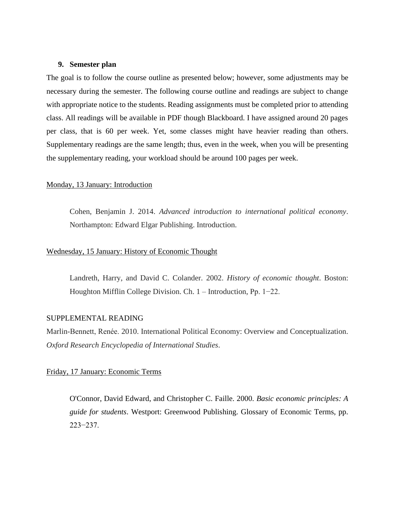### **9. Semester plan**

The goal is to follow the course outline as presented below; however, some adjustments may be necessary during the semester. The following course outline and readings are subject to change with appropriate notice to the students. Reading assignments must be completed prior to attending class. All readings will be available in PDF though Blackboard. I have assigned around 20 pages per class, that is 60 per week. Yet, some classes might have heavier reading than others. Supplementary readings are the same length; thus, even in the week, when you will be presenting the supplementary reading, your workload should be around 100 pages per week.

# Monday, 13 January: Introduction

Cohen, Benjamin J. 2014. *Advanced introduction to international political economy*. Northampton: Edward Elgar Publishing. Introduction.

### Wednesday, 15 January: History of Economic Thought

Landreth, Harry, and David C. Colander. 2002. *History of economic thought*. Boston: Houghton Mifflin College Division. Ch. 1 – Introduction, Pp. 1−22.

#### SUPPLEMENTAL READING

Marlin-Bennett, Renée. 2010. International Political Economy: Overview and Conceptualization. *Oxford Research Encyclopedia of International Studies*.

#### Friday, 17 January: Economic Terms

O'Connor, David Edward, and Christopher C. Faille. 2000. *Basic economic principles: A guide for students*. Westport: Greenwood Publishing. Glossary of Economic Terms, pp. 223−237.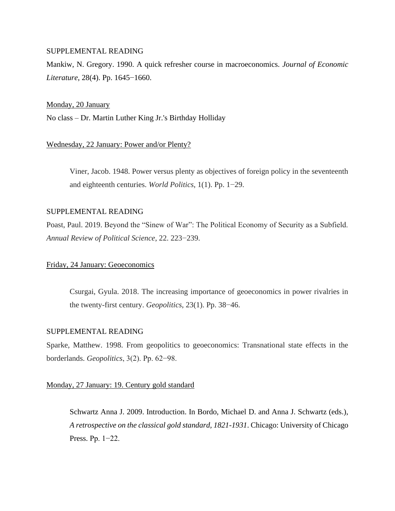Mankiw, N. Gregory. 1990. A quick refresher course in macroeconomics. *Journal of Economic Literature*, 28(4). Pp. 1645−1660.

#### Monday, 20 January

No class – Dr. Martin Luther King Jr.'s Birthday Holliday

### Wednesday, 22 January: Power and/or Plenty?

Viner, Jacob. 1948. Power versus plenty as objectives of foreign policy in the seventeenth and eighteenth centuries. *World Politics*, 1(1). Pp. 1−29.

### SUPPLEMENTAL READING

Poast, Paul. 2019. Beyond the "Sinew of War": The Political Economy of Security as a Subfield. *Annual Review of Political Science*, 22. 223−239.

### Friday, 24 January: Geoeconomics

Csurgai, Gyula. 2018. The increasing importance of geoeconomics in power rivalries in the twenty-first century. *Geopolitics*, 23(1). Pp. 38−46.

# SUPPLEMENTAL READING

Sparke, Matthew. 1998. From geopolitics to geoeconomics: Transnational state effects in the borderlands. *Geopolitics*, 3(2). Pp. 62−98.

### Monday, 27 January: 19. Century gold standard

Schwartz Anna J. 2009. Introduction. In Bordo, Michael D. and Anna J. Schwartz (eds.), *A retrospective on the classical gold standard, 1821-1931*. Chicago: University of Chicago Press. Pp. 1−22.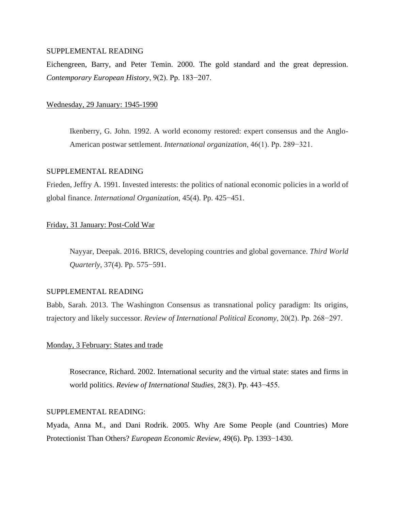Eichengreen, Barry, and Peter Temin. 2000. The gold standard and the great depression. *Contemporary European History*, 9(2). Pp. 183−207.

### Wednesday, 29 January: 1945-1990

Ikenberry, G. John. 1992. A world economy restored: expert consensus and the Anglo-American postwar settlement. *International organization*, 46(1). Pp. 289−321.

#### SUPPLEMENTAL READING

Frieden, Jeffry A. 1991. Invested interests: the politics of national economic policies in a world of global finance. *International Organization*, 45(4). Pp. 425−451.

### Friday, 31 January: Post-Cold War

Nayyar, Deepak. 2016. BRICS, developing countries and global governance. *Third World Quarterly*, 37(4). Pp. 575−591.

# SUPPLEMENTAL READING

Babb, Sarah. 2013. The Washington Consensus as transnational policy paradigm: Its origins, trajectory and likely successor. *Review of International Political Economy*, 20(2). Pp. 268−297.

# Monday, 3 February: States and trade

Rosecrance, Richard. 2002. International security and the virtual state: states and firms in world politics. *Review of International Studies*, 28(3). Pp. 443−455.

# SUPPLEMENTAL READING:

Myada, Anna M., and Dani Rodrik. 2005. Why Are Some People (and Countries) More Protectionist Than Others? *European Economic Review*, 49(6). Pp. 1393−1430.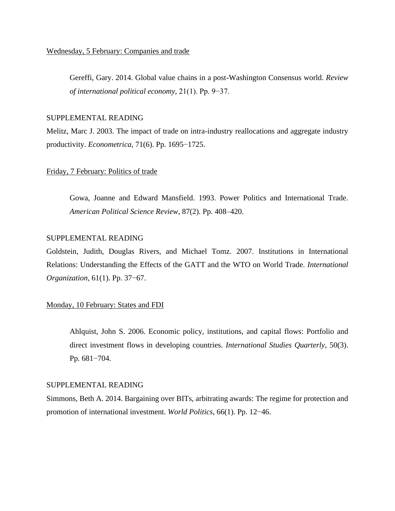Gereffi, Gary. 2014. Global value chains in a post-Washington Consensus world. *Review of international political economy*, 21(1). Pp. 9−37.

#### SUPPLEMENTAL READING

Melitz, Marc J. 2003. The impact of trade on intra-industry reallocations and aggregate industry productivity. *Econometrica*, 71(6). Pp. 1695−1725.

## Friday, 7 February: Politics of trade

Gowa, Joanne and Edward Mansfield. 1993. Power Politics and International Trade. *American Political Science Review*, 87(2). Pp. 408–420.

# SUPPLEMENTAL READING

Goldstein, Judith, Douglas Rivers, and Michael Tomz. 2007. Institutions in International Relations: Understanding the Effects of the GATT and the WTO on World Trade. *International Organization*, 61(1). Pp. 37−67.

#### Monday, 10 February: States and FDI

Ahlquist, John S. 2006. Economic policy, institutions, and capital flows: Portfolio and direct investment flows in developing countries. *International Studies Quarterly*, 50(3). Pp. 681−704.

#### SUPPLEMENTAL READING

Simmons, Beth A. 2014. Bargaining over BITs, arbitrating awards: The regime for protection and promotion of international investment. *World Politics*, 66(1). Pp. 12−46.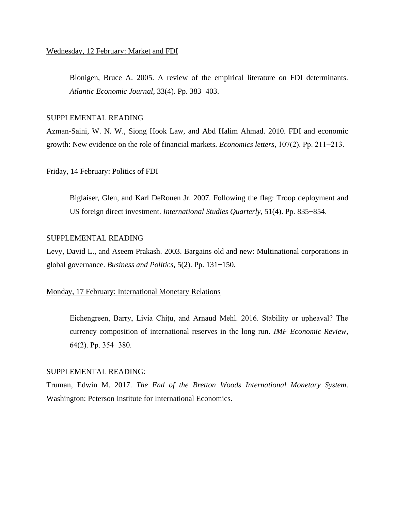Blonigen, Bruce A. 2005. A review of the empirical literature on FDI determinants. *Atlantic Economic Journal*, 33(4). Pp. 383−403.

#### SUPPLEMENTAL READING

Azman-Saini, W. N. W., Siong Hook Law, and Abd Halim Ahmad. 2010. FDI and economic growth: New evidence on the role of financial markets. *Economics letters*, 107(2). Pp. 211−213.

# Friday, 14 February: Politics of FDI

Biglaiser, Glen, and Karl DeRouen Jr. 2007. Following the flag: Troop deployment and US foreign direct investment. *International Studies Quarterly*, 51(4). Pp. 835−854.

# SUPPLEMENTAL READING

Levy, David L., and Aseem Prakash. 2003. Bargains old and new: Multinational corporations in global governance. *Business and Politics*, 5(2). Pp. 131−150.

#### Monday, 17 February: International Monetary Relations

Eichengreen, Barry, Livia Chitu, and Arnaud Mehl. 2016. Stability or upheaval? The currency composition of international reserves in the long run. *IMF Economic Review*, 64(2). Pp. 354−380.

#### SUPPLEMENTAL READING:

Truman, Edwin M. 2017. *The End of the Bretton Woods International Monetary System*. Washington: Peterson Institute for International Economics.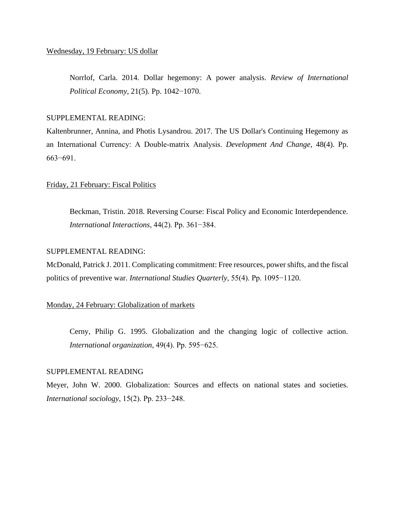Norrlof, Carla. 2014. Dollar hegemony: A power analysis. *Review of International Political Economy*, 21(5). Pp. 1042−1070.

## SUPPLEMENTAL READING:

Kaltenbrunner, Annina, and Photis Lysandrou. 2017. The US Dollar's Continuing Hegemony as an International Currency: A Double‐matrix Analysis. *Development And Change*, 48(4). Pp. 663−691.

# Friday, 21 February: Fiscal Politics

Beckman, Tristin. 2018. Reversing Course: Fiscal Policy and Economic Interdependence. *International Interactions*, 44(2). Pp. 361−384.

#### SUPPLEMENTAL READING:

McDonald, Patrick J. 2011. Complicating commitment: Free resources, power shifts, and the fiscal politics of preventive war. *International Studies Quarterly*, 55(4). Pp. 1095−1120.

#### Monday, 24 February: Globalization of markets

Cerny, Philip G. 1995. Globalization and the changing logic of collective action. *International organization*, 49(4). Pp. 595−625.

#### SUPPLEMENTAL READING

Meyer, John W. 2000. Globalization: Sources and effects on national states and societies. *International sociology*, 15(2). Pp. 233−248.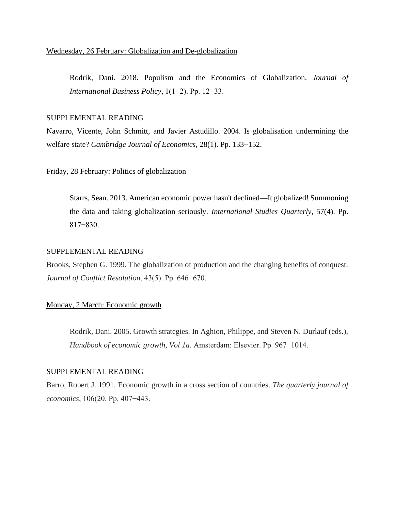Rodrik, Dani. 2018. Populism and the Economics of Globalization. *Journal of International Business Policy*, 1(1−2). Pp. 12−33.

## SUPPLEMENTAL READING

Navarro, Vicente, John Schmitt, and Javier Astudillo. 2004. Is globalisation undermining the welfare state? *Cambridge Journal of Economics*, 28(1). Pp. 133−152.

# Friday, 28 February: Politics of globalization

Starrs, Sean. 2013. American economic power hasn't declined—It globalized! Summoning the data and taking globalization seriously. *International Studies Quarterly*, 57(4). Pp. 817−830.

### SUPPLEMENTAL READING

Brooks, Stephen G. 1999. The globalization of production and the changing benefits of conquest. *Journal of Conflict Resolution*, 43(5). Pp. 646−670.

### Monday, 2 March: Economic growth

Rodrik, Dani. 2005. Growth strategies. In Aghion, Philippe, and Steven N. Durlauf (eds.), *Handbook of economic growth, Vol 1a*. Amsterdam: Elsevier. Pp. 967−1014.

#### SUPPLEMENTAL READING

Barro, Robert J. 1991. Economic growth in a cross section of countries. *The quarterly journal of economics*, 106(20. Pp. 407−443.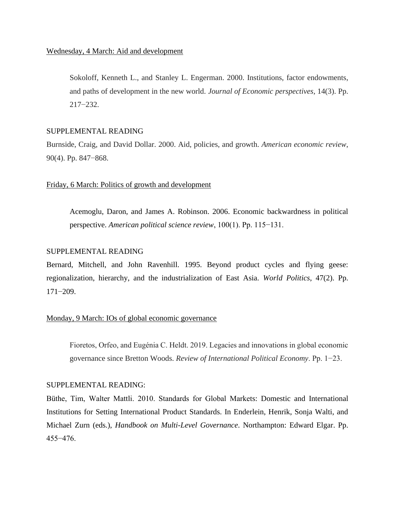Sokoloff, Kenneth L., and Stanley L. Engerman. 2000. Institutions, factor endowments, and paths of development in the new world. *Journal of Economic perspectives*, 14(3). Pp. 217−232.

## SUPPLEMENTAL READING

Burnside, Craig, and David Dollar. 2000. Aid, policies, and growth. *American economic review*, 90(4). Pp. 847−868.

# Friday, 6 March: Politics of growth and development

Acemoglu, Daron, and James A. Robinson. 2006. Economic backwardness in political perspective. *American political science review*, 100(1). Pp. 115−131.

### SUPPLEMENTAL READING

Bernard, Mitchell, and John Ravenhill. 1995. Beyond product cycles and flying geese: regionalization, hierarchy, and the industrialization of East Asia. *World Politics*, 47(2). Pp. 171−209.

### Monday, 9 March: IOs of global economic governance

Fioretos, Orfeo, and Eugénia C. Heldt. 2019. Legacies and innovations in global economic governance since Bretton Woods. *Review of International Political Economy*. Pp. 1−23.

#### SUPPLEMENTAL READING:

Büthe, Tim, Walter Mattli. 2010. Standards for Global Markets: Domestic and International Institutions for Setting International Product Standards. In Enderlein, Henrik, Sonja Walti, and Michael Zurn (eds.), *Handbook on Multi-Level Governance*. Northampton: Edward Elgar. Pp. 455−476.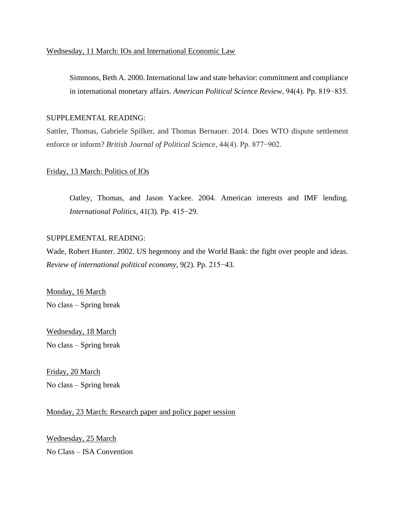# Wednesday, 11 March: IOs and International Economic Law

Simmons, Beth A. 2000. International law and state behavior: commitment and compliance in international monetary affairs. *American Political Science Review*, 94(4). Pp. 819−835.

# SUPPLEMENTAL READING:

Sattler, Thomas, Gabriele Spilker, and Thomas Bernauer. 2014. Does WTO dispute settlement enforce or inform? *British Journal of Political Science*, 44(4). Pp. 877−902.

# Friday, 13 March: Politics of IOs

Oatley, Thomas, and Jason Yackee. 2004. American interests and IMF lending. *International Politics*, 41(3). Pp. 415−29.

# SUPPLEMENTAL READING:

Wade, Robert Hunter. 2002. US hegemony and the World Bank: the fight over people and ideas. *Review of international political economy*, 9(2). Pp. 215−43.

Monday, 16 March No class – Spring break

Wednesday, 18 March No class – Spring break

Friday, 20 March No class – Spring break

Monday, 23 March: Research paper and policy paper session

Wednesday, 25 March No Class – ISA Convention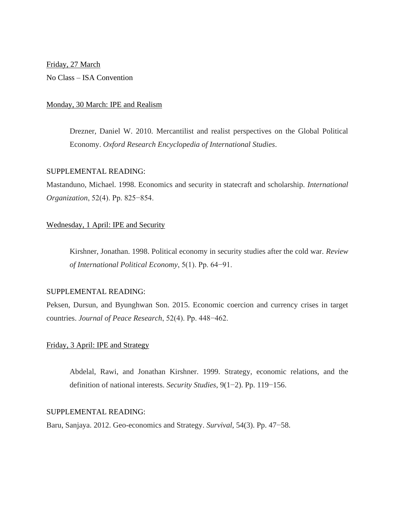Friday, 27 March No Class – ISA Convention

### Monday, 30 March: IPE and Realism

Drezner, Daniel W. 2010. Mercantilist and realist perspectives on the Global Political Economy. *Oxford Research Encyclopedia of International Studies*.

## SUPPLEMENTAL READING:

Mastanduno, Michael. 1998. Economics and security in statecraft and scholarship. *International Organization*, 52(4). Pp. 825−854.

## Wednesday, 1 April: IPE and Security

Kirshner, Jonathan. 1998. Political economy in security studies after the cold war. *Review of International Political Economy*, 5(1). Pp. 64−91.

# SUPPLEMENTAL READING:

Peksen, Dursun, and Byunghwan Son. 2015. Economic coercion and currency crises in target countries. *Journal of Peace Research*, 52(4). Pp. 448−462.

### Friday, 3 April: IPE and Strategy

Abdelal, Rawi, and Jonathan Kirshner. 1999. Strategy, economic relations, and the definition of national interests. *Security Studies*, 9(1−2). Pp. 119−156.

# SUPPLEMENTAL READING:

Baru, Sanjaya. 2012. Geo-economics and Strategy. *Survival*, 54(3). Pp. 47−58.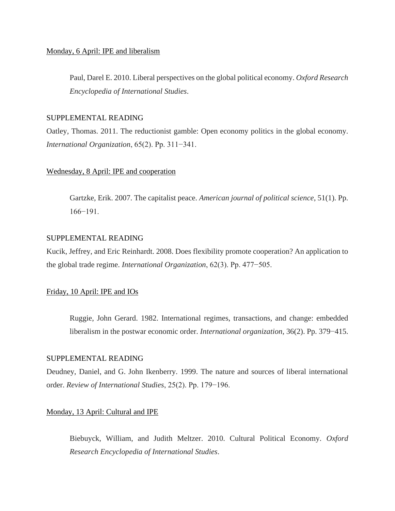### Monday, 6 April: IPE and liberalism

Paul, Darel E. 2010. Liberal perspectives on the global political economy. *Oxford Research Encyclopedia of International Studies*.

## SUPPLEMENTAL READING

Oatley, Thomas. 2011. The reductionist gamble: Open economy politics in the global economy. *International Organization*, 65(2). Pp. 311−341.

# Wednesday, 8 April: IPE and cooperation

Gartzke, Erik. 2007. The capitalist peace. *American journal of political science*, 51(1). Pp. 166−191.

# SUPPLEMENTAL READING

Kucik, Jeffrey, and Eric Reinhardt. 2008. Does flexibility promote cooperation? An application to the global trade regime. *International Organization*, 62(3). Pp. 477−505.

### Friday, 10 April: IPE and IOs

Ruggie, John Gerard. 1982. International regimes, transactions, and change: embedded liberalism in the postwar economic order. *International organization*, 36(2). Pp. 379−415.

# SUPPLEMENTAL READING

Deudney, Daniel, and G. John Ikenberry. 1999. The nature and sources of liberal international order. *Review of International Studies*, 25(2). Pp. 179−196.

### Monday, 13 April: Cultural and IPE

Biebuyck, William, and Judith Meltzer. 2010. Cultural Political Economy. *Oxford Research Encyclopedia of International Studies*.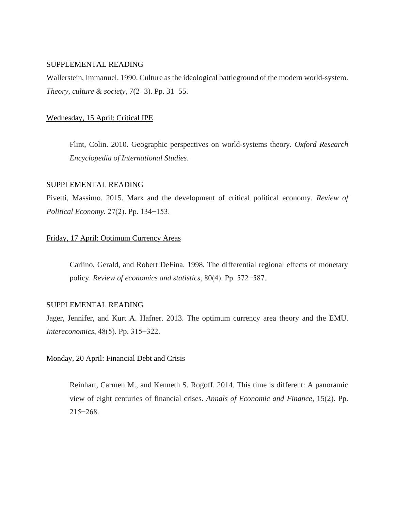Wallerstein, Immanuel. 1990. Culture as the ideological battleground of the modern world-system. *Theory, culture & society*, 7(2−3). Pp. 31−55.

## Wednesday, 15 April: Critical IPE

Flint, Colin. 2010. Geographic perspectives on world-systems theory. *Oxford Research Encyclopedia of International Studies*.

# SUPPLEMENTAL READING

Pivetti, Massimo. 2015. Marx and the development of critical political economy. *Review of Political Economy*, 27(2). Pp. 134−153.

## Friday, 17 April: Optimum Currency Areas

Carlino, Gerald, and Robert DeFina. 1998. The differential regional effects of monetary policy. *Review of economics and statistics*, 80(4). Pp. 572−587.

### SUPPLEMENTAL READING

Jager, Jennifer, and Kurt A. Hafner. 2013. The optimum currency area theory and the EMU. *Intereconomics*, 48(5). Pp. 315−322.

# Monday, 20 April: Financial Debt and Crisis

Reinhart, Carmen M., and Kenneth S. Rogoff. 2014. This time is different: A panoramic view of eight centuries of financial crises. *Annals of Economic and Finance*, 15(2). Pp. 215−268.